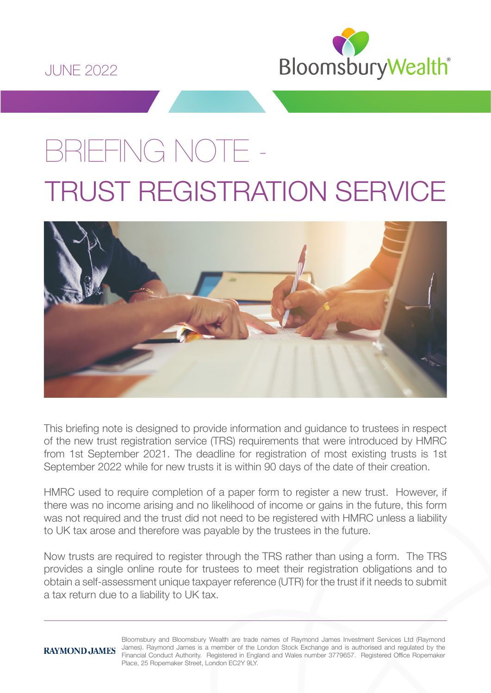

# BRIEFING NOTE - TRUST REGISTRATION SERVICE



This briefing note is designed to provide information and guidance to trustees in respect of the new trust registration service (TRS) requirements that were introduced by HMRC from 1st September 2021. The deadline for registration of most existing trusts is 1st September 2022 while for new trusts it is within 90 days of the date of their creation.

HMRC used to require completion of a paper form to register a new trust. However, if there was no income arising and no likelihood of income or gains in the future, this form was not required and the trust did not need to be registered with HMRC unless a liability to UK tax arose and therefore was payable by the trustees in the future.

Now trusts are required to register through the TRS rather than using a form. The TRS provides a single online route for trustees to meet their registration obligations and to obtain a self-assessment unique taxpayer reference (UTR) for the trust if it needs to submit a tax return due to a liability to UK tax.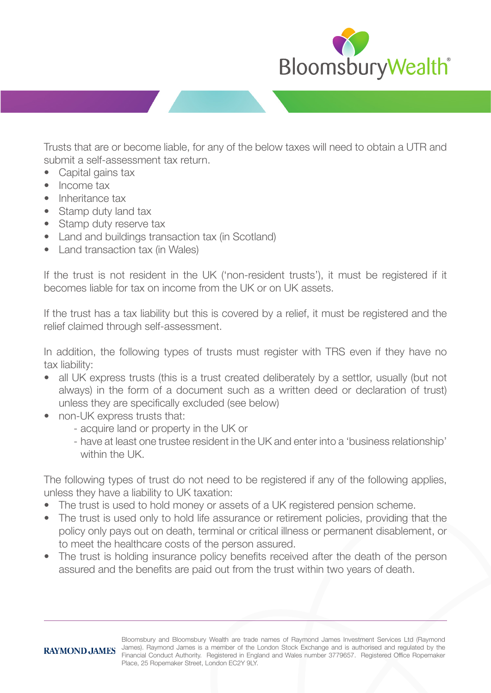

Trusts that are or become liable, for any of the below taxes will need to obtain a UTR and submit a self-assessment tax return.

- Capital gains tax
- Income tax
- Inheritance tax
- Stamp duty land tax
- Stamp duty reserve tax
- Land and buildings transaction tax (in Scotland)
- Land transaction tax (in Wales)

If the trust is not resident in the UK ('non-resident trusts'), it must be registered if it becomes liable for tax on income from the UK or on UK assets.

If the trust has a tax liability but this is covered by a relief, it must be registered and the relief claimed through self-assessment.

In addition, the following types of trusts must register with TRS even if they have no tax liability:

- all UK express trusts (this is a trust created deliberately by a settlor, usually (but not always) in the form of a document such as a written deed or declaration of trust) unless they are specifically excluded (see below)
- non-UK express trusts that:
	- acquire land or property in the UK or
	- have at least one trustee resident in the UK and enter into a 'business relationship' within the UK.

The following types of trust do not need to be registered if any of the following applies, unless they have a liability to UK taxation:

- The trust is used to hold money or assets of a UK registered pension scheme.
- The trust is used only to hold life assurance or retirement policies, providing that the policy only pays out on death, terminal or critical illness or permanent disablement, or to meet the healthcare costs of the person assured.
- The trust is holding insurance policy benefits received after the death of the person assured and the benefits are paid out from the trust within two years of death.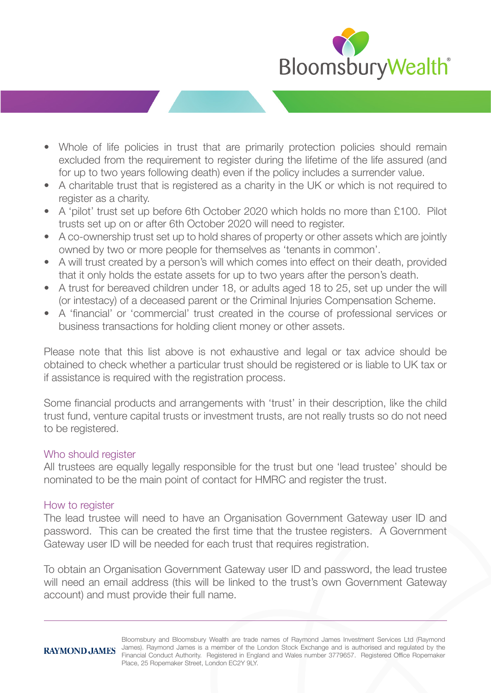

- Whole of life policies in trust that are primarily protection policies should remain excluded from the requirement to register during the lifetime of the life assured (and for up to two years following death) even if the policy includes a surrender value.
- A charitable trust that is registered as a charity in the UK or which is not required to register as a charity.
- A 'pilot' trust set up before 6th October 2020 which holds no more than £100. Pilot trusts set up on or after 6th October 2020 will need to register.
- A co-ownership trust set up to hold shares of property or other assets which are jointly owned by two or more people for themselves as 'tenants in common'.
- A will trust created by a person's will which comes into effect on their death, provided that it only holds the estate assets for up to two years after the person's death.
- A trust for bereaved children under 18, or adults aged 18 to 25, set up under the will (or intestacy) of a deceased parent or the Criminal Injuries Compensation Scheme.
- A 'financial' or 'commercial' trust created in the course of professional services or business transactions for holding client money or other assets.

Please note that this list above is not exhaustive and legal or tax advice should be obtained to check whether a particular trust should be registered or is liable to UK tax or if assistance is required with the registration process.

Some financial products and arrangements with 'trust' in their description, like the child trust fund, venture capital trusts or investment trusts, are not really trusts so do not need to be registered.

### Who should register

All trustees are equally legally responsible for the trust but one 'lead trustee' should be nominated to be the main point of contact for HMRC and register the trust.

### How to register

The lead trustee will need to have an Organisation Government Gateway user ID and password. This can be created the first time that the trustee registers. A Government Gateway user ID will be needed for each trust that requires registration.

To obtain an Organisation Government Gateway user ID and password, the lead trustee will need an email address (this will be linked to the trust's own Government Gateway account) and must provide their full name.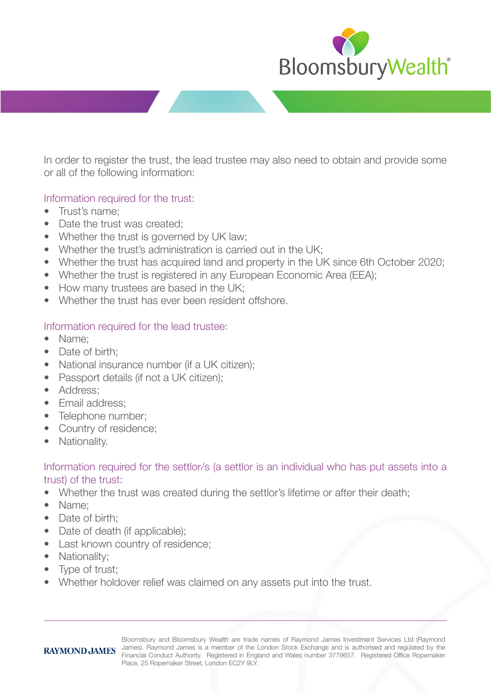

In order to register the trust, the lead trustee may also need to obtain and provide some or all of the following information:

## Information required for the trust:

- Trust's name;
- Date the trust was created:
- Whether the trust is governed by UK law;
- Whether the trust's administration is carried out in the UK;
- Whether the trust has acquired land and property in the UK since 6th October 2020;
- Whether the trust is registered in any European Economic Area (EEA);
- How many trustees are based in the UK:
- Whether the trust has ever been resident offshore.

## Information required for the lead trustee:

- Name;
- Date of birth:
- National insurance number (if a UK citizen);
- Passport details (if not a UK citizen);
- Address:
- Email address:
- Telephone number;
- Country of residence;
- Nationality.

## Information required for the settlor/s (a settlor is an individual who has put assets into a trust) of the trust:

- Whether the trust was created during the settlor's lifetime or after their death;
- Name;
- Date of birth:
- Date of death (if applicable):
- Last known country of residence;
- Nationality;
- Type of trust;
- Whether holdover relief was claimed on any assets put into the trust.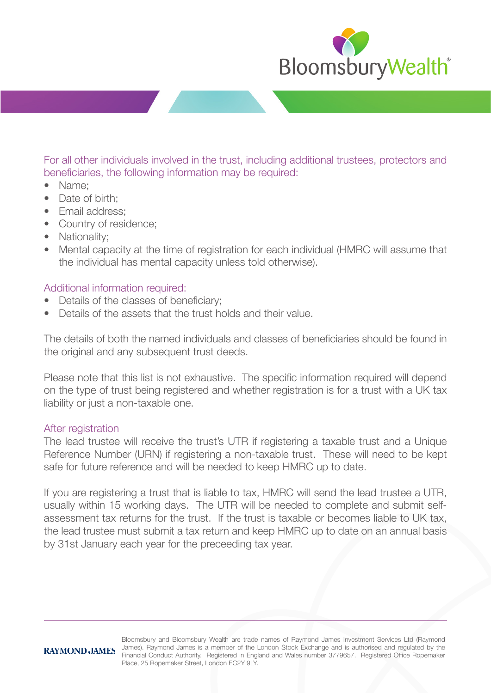

For all other individuals involved in the trust, including additional trustees, protectors and beneficiaries, the following information may be required:

- Name;
- Date of birth:
- Email address:
- Country of residence;
- Nationality;
- Mental capacity at the time of registration for each individual (HMRC will assume that the individual has mental capacity unless told otherwise).

## Additional information required:

- Details of the classes of beneficiary;
- Details of the assets that the trust holds and their value.

The details of both the named individuals and classes of beneficiaries should be found in the original and any subsequent trust deeds.

Please note that this list is not exhaustive. The specific information required will depend on the type of trust being registered and whether registration is for a trust with a UK tax liability or just a non-taxable one.

### After registration

The lead trustee will receive the trust's UTR if registering a taxable trust and a Unique Reference Number (URN) if registering a non-taxable trust. These will need to be kept safe for future reference and will be needed to keep HMRC up to date.

If you are registering a trust that is liable to tax, HMRC will send the lead trustee a UTR, usually within 15 working days. The UTR will be needed to complete and submit selfassessment tax returns for the trust. If the trust is taxable or becomes liable to UK tax, the lead trustee must submit a tax return and keep HMRC up to date on an annual basis by 31st January each year for the preceeding tax year.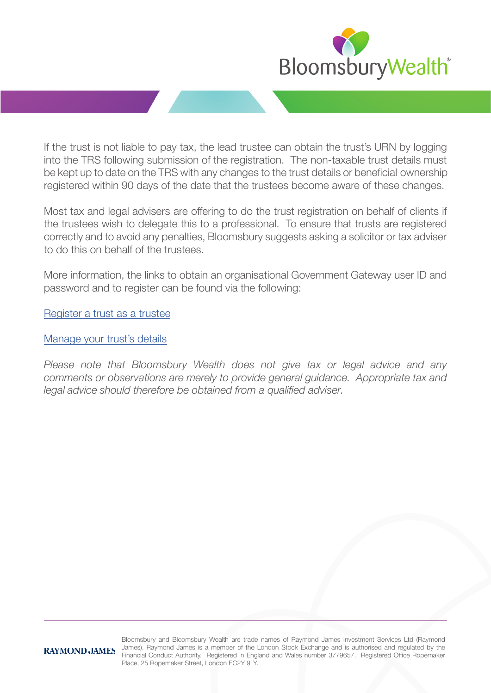

If the trust is not liable to pay tax, the lead trustee can obtain the trust's URN by logging into the TRS following submission of the registration. The non-taxable trust details must be kept up to date on the TRS with any changes to the trust details or beneficial ownership registered within 90 days of the date that the trustees become aware of these changes.

Most tax and legal advisers are offering to do the trust registration on behalf of clients if the trustees wish to delegate this to a professional. To ensure that trusts are registered correctly and to avoid any penalties, Bloomsbury suggests asking a solicitor or tax adviser to do this on behalf of the trustees.

More information, the links to obtain an organisational Government Gateway user ID and password and to register can be found via the following:

[Register a trust as a trustee](https://www.gov.uk/guidance/register-a-trust-as-a-trustee?utm_medium=email&utm_campaign=govuk-notifications&utm_source=005e5299-dcc9-4e95-9c5c-574e4d7c9be5&utm_content=immediately)

### [Manage your trust's details](https://www.gov.uk/guidance/manage-your-trusts-registration-service)

*Please note that Bloomsbury Wealth does not give tax or legal advice and any comments or observations are merely to provide general guidance. Appropriate tax and legal advice should therefore be obtained from a qualified adviser.*